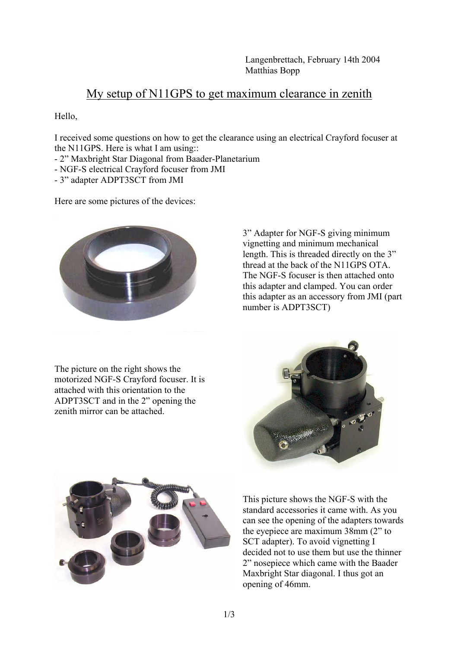## My setup of N11GPS to get maximum clearance in zenith

Hello,

I received some questions on how to get the clearance using an electrical Crayford focuser at the N11GPS. Here is what I am using::

- 2" Maxbright Star Diagonal from Baader-Planetarium
- NGF-S electrical Crayford focuser from JMI
- 3" adapter ADPT3SCT from JMI

Here are some pictures of the devices:



The picture on the right shows the motorized NGF-S Crayford focuser. It is attached with this orientation to the ADPT3SCT and in the 2" opening the zenith mirror can be attached.

3" Adapter for NGF-S giving minimum vignetting and minimum mechanical length. This is threaded directly on the 3" thread at the back of the N11GPS OTA. The NGF-S focuser is then attached onto this adapter and clamped. You can order this adapter as an accessory from JMI (part number is ADPT3SCT)





This picture shows the NGF-S with the standard accessories it came with. As you can see the opening of the adapters towards the eyepiece are maximum 38mm (2" to SCT adapter). To avoid vignetting I decided not to use them but use the thinner 2" nosepiece which came with the Baader Maxbright Star diagonal. I thus got an opening of 46mm.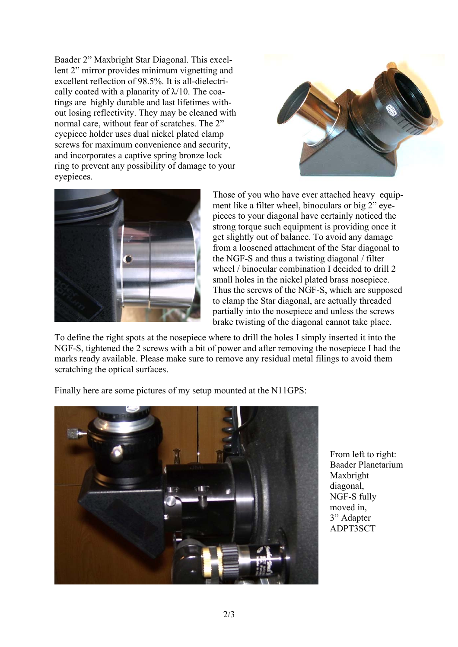Baader 2" Maxbright Star Diagonal. This excellent 2" mirror provides minimum vignetting and excellent reflection of 98.5%. It is all-dielectrically coated with a planarity of  $\lambda$ /10. The coatings are highly durable and last lifetimes without losing reflectivity. They may be cleaned with normal care, without fear of scratches. The 2" eyepiece holder uses dual nickel plated clamp screws for maximum convenience and security, and incorporates a captive spring bronze lock ring to prevent any possibility of damage to your eyepieces.





Those of you who have ever attached heavy equipment like a filter wheel, binoculars or big 2" eyepieces to your diagonal have certainly noticed the strong torque such equipment is providing once it get slightly out of balance. To avoid any damage from a loosened attachment of the Star diagonal to the NGF-S and thus a twisting diagonal / filter wheel / binocular combination I decided to drill 2 small holes in the nickel plated brass nosepiece. Thus the screws of the NGF-S, which are supposed to clamp the Star diagonal, are actually threaded partially into the nosepiece and unless the screws brake twisting of the diagonal cannot take place.

To define the right spots at the nosepiece where to drill the holes I simply inserted it into the NGF-S, tightened the 2 screws with a bit of power and after removing the nosepiece I had the marks ready available. Please make sure to remove any residual metal filings to avoid them scratching the optical surfaces.

Finally here are some pictures of my setup mounted at the N11GPS:



From left to right: Baader Planetarium Maxbright diagonal, NGF-S fully moved in, 3" Adapter ADPT3SCT